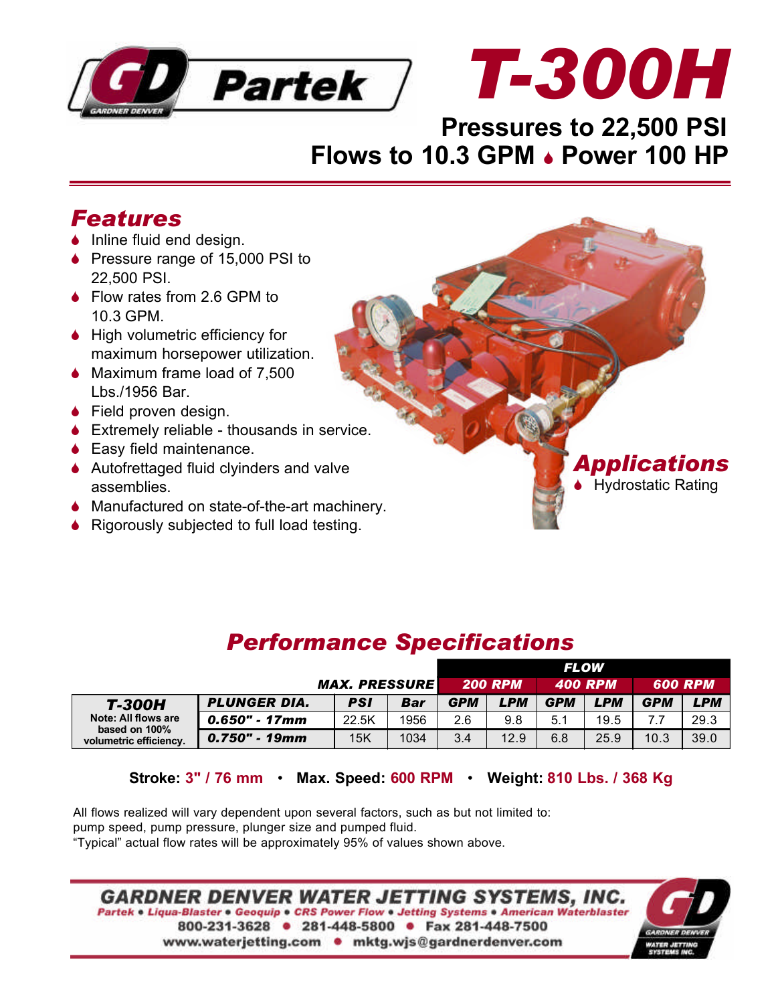



### **Pressures to 22,500 PSI Flows to 10.3 GPM . Power 100 HP**

#### *Features*

- $\bullet$  Inline fluid end design.
- $\blacklozenge$  Pressure range of 15,000 PSI to 22,500 PSI.
- $\bullet$  Flow rates from 2.6 GPM to 10.3 GPM.
- $\bullet$  High volumetric efficiency for maximum horsepower utilization.
- $\blacklozenge$  Maximum frame load of 7,500 Lbs./1956 Bar.
- $\bullet$  Field proven design.
- $\triangle$  Extremely reliable thousands in service.
- $\triangle$  Easy field maintenance.
- $\triangle$  Autofrettaged fluid clyinders and valve assemblies.
- $\blacklozenge$  Manufactured on state-of-the-art machinery.
- $\blacklozenge$  Rigorously subjected to full load testing.



## *Performance Specifications*

|                                                                                 |                     |                      |      | <b>FLOW</b>    |            |                |            |                |      |
|---------------------------------------------------------------------------------|---------------------|----------------------|------|----------------|------------|----------------|------------|----------------|------|
|                                                                                 |                     | <b>MAX. PRESSURE</b> |      | <b>200 RPM</b> |            | <b>400 RPM</b> |            | <b>600 RPM</b> |      |
| <b>T-300H</b><br>Note: All flows are<br>based on 100%<br>volumetric efficiency. | <b>PLUNGER DIA.</b> | <b>PSI</b>           | Bar  | <b>GPM</b>     | <b>LPM</b> | <b>GPM</b>     | <b>LPM</b> | <b>GPM</b>     | LPM  |
|                                                                                 | 0.650" - 17mm       | 22.5K                | 1956 | 2.6            | 9.8        | 5.1            | 19.5       |                | 29.3 |
|                                                                                 | $0.750"$ - 19mm     | 15K                  | 1034 | 3.4            | 12.9       | 6.8            | 25.9       | 10.3           | 39.0 |

**Stroke: 3" / 76 mm** • **Max. Speed: 600 RPM** • **Weight: 810 Lbs. / 368 Kg**

All flows realized will vary dependent upon several factors, such as but not limited to: pump speed, pump pressure, plunger size and pumped fluid. "Typical" actual flow rates will be approximately 95% of values shown above.

**GARDNER DENVER WATER JETTING SYSTEMS, INC.** Partek • Liqua-Blaster • Geoquip • CRS Power Flow • Jetting Systems • American Waterblaster 800-231-3628 · 281-448-5800 · Fax 281-448-7500 www.waterjetting.com • mktg.wjs@gardnerdenver.com